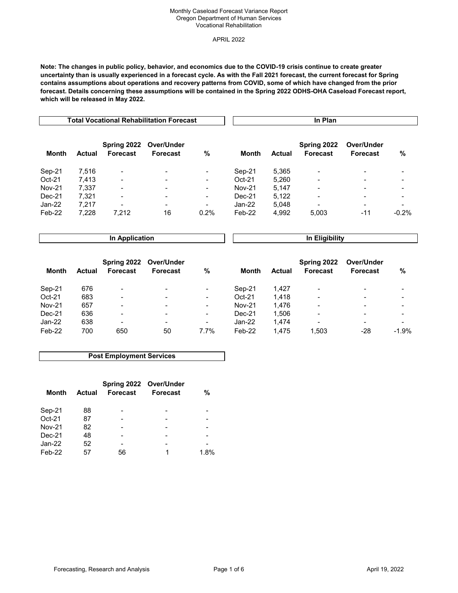### Monthly Caseload Forecast Variance Report Oregon Department of Human Services Vocational Rehabilitation

APRIL 2022

**Note: The changes in public policy, behavior, and economics due to the COVID-19 crisis continue to create greater uncertainty than is usually experienced in a forecast cycle. As with the Fall 2021 forecast, the current forecast for Spring contains assumptions about operations and recovery patterns from COVID, some of which have changed from the prior forecast. Details concerning these assumptions will be contained in the Spring 2022 ODHS-OHA Caseload Forecast report, which will be released in May 2022.**

|               |        |                         | <b>Total Vocational Rehabilitation Forecast</b> |                          | In Plan       |        |                                |                               |         |
|---------------|--------|-------------------------|-------------------------------------------------|--------------------------|---------------|--------|--------------------------------|-------------------------------|---------|
| <b>Month</b>  | Actual | Spring 2022<br>Forecast | Over/Under<br><b>Forecast</b>                   | %                        | Month         | Actual | Spring 2022<br><b>Forecast</b> | Over/Under<br><b>Forecast</b> | %       |
| Sep-21        | 7,516  | $\blacksquare$          | $\blacksquare$                                  | $\blacksquare$           | Sep-21        | 5,365  | $\overline{\phantom{a}}$       | $\,$                          |         |
| Oct-21        | 7,413  | $\blacksquare$          |                                                 | $\overline{\phantom{a}}$ | $Oct-21$      | 5,260  |                                | $\overline{\phantom{0}}$      |         |
| <b>Nov-21</b> | 7.337  | $\blacksquare$          |                                                 | $\overline{\phantom{a}}$ | <b>Nov-21</b> | 5.147  | $\,$                           | $\,$                          |         |
| Dec-21        | 7.321  | $\blacksquare$          |                                                 | $\blacksquare$           | Dec-21        | 5,122  |                                |                               |         |
| Jan-22        | 7.217  | $\blacksquare$          | $\overline{\phantom{a}}$                        | $\blacksquare$           | $Jan-22$      | 5,048  | $\overline{\phantom{0}}$       | $\,$                          |         |
| Feb-22        | 7,228  | 7.212                   | 16                                              | 0.2%                     | Feb-22        | 4,992  | 5,003                          | $-11$                         | $-0.2%$ |

**In Application** 

**In Eligibility**

| Month         | Actual | Spring 2022<br>Forecast  | Over/Under<br><b>Forecast</b> | %                        | Month         | <b>Actual</b> | Spring 2022<br>Forecast  | Over/Under<br><b>Forecast</b> | %                        |
|---------------|--------|--------------------------|-------------------------------|--------------------------|---------------|---------------|--------------------------|-------------------------------|--------------------------|
| Sep-21        | 676    | $\overline{\phantom{a}}$ | $\,$                          | $\overline{\phantom{a}}$ | Sep-21        | 1.427         | $\,$                     | -                             | $\,$                     |
| $Oct-21$      | 683    | $\blacksquare$           | $\blacksquare$                | $\blacksquare$           | $Oct-21$      | 1.418         | $\,$                     | $\overline{\phantom{a}}$      | $\,$                     |
| <b>Nov-21</b> | 657    | $\overline{\phantom{a}}$ | $\,$                          | $\blacksquare$           | <b>Nov-21</b> | 1.476         | $\overline{\phantom{0}}$ | -                             | $\,$                     |
| Dec-21        | 636    | $\overline{\phantom{a}}$ | $\blacksquare$                | $\blacksquare$           | $Dec-21$      | 1.506         | $\,$                     | $\,$                          | $\overline{\phantom{a}}$ |
| Jan-22        | 638    | $\overline{\phantom{a}}$ | -                             | $\overline{\phantom{a}}$ | Jan-22        | 1.474         | $\qquad \qquad$          | $\overline{\phantom{0}}$      | -                        |
| Feb-22        | 700    | 650                      | 50                            | 7.7%                     | Feb-22        | 1.475         | 1,503                    | -28                           | $-1.9%$                  |

## **Post Employment Services**

| Month         | Actual | Spring 2022 Over/Under<br>Forecast | <b>Forecast</b> | %    |
|---------------|--------|------------------------------------|-----------------|------|
| Sep-21        | 88     |                                    |                 |      |
| $Oct-21$      | 87     |                                    |                 |      |
| <b>Nov-21</b> | 82     |                                    |                 |      |
| $Dec-21$      | 48     |                                    |                 |      |
| Jan-22        | 52     |                                    |                 |      |
| Feb-22        | 57     | 56                                 | 1               | 1.8% |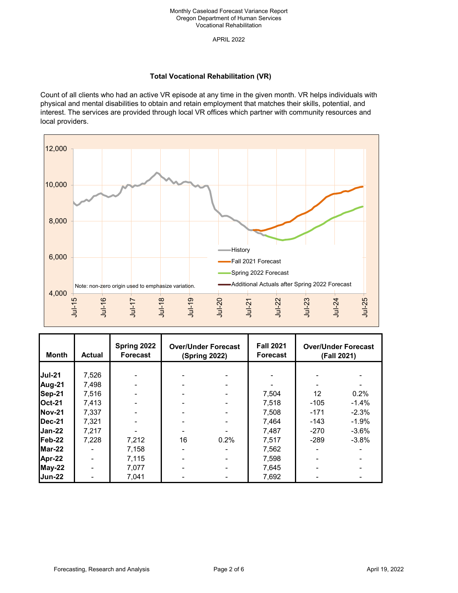APRIL 2022

# **Total Vocational Rehabilitation (VR)**

Count of all clients who had an active VR episode at any time in the given month. VR helps individuals with physical and mental disabilities to obtain and retain employment that matches their skills, potential, and interest. The services are provided through local VR offices which partner with community resources and local providers.



| Month          | Actual | Spring 2022<br><b>Forecast</b> | <b>Over/Under Forecast</b><br><b>(Spring 2022)</b> |      | <b>Fall 2021</b><br><b>Forecast</b> |        | <b>Over/Under Forecast</b><br>(Fall 2021) |
|----------------|--------|--------------------------------|----------------------------------------------------|------|-------------------------------------|--------|-------------------------------------------|
|                |        |                                |                                                    |      |                                     |        |                                           |
| <b>Jul-21</b>  | 7,526  |                                |                                                    |      |                                     |        |                                           |
| Aug-21         | 7,498  |                                |                                                    |      |                                     |        |                                           |
| Sep-21         | 7,516  |                                |                                                    |      | 7,504                               | 12     | 0.2%                                      |
| <b>Oct-21</b>  | 7.413  |                                |                                                    |      | 7.518                               | $-105$ | $-1.4%$                                   |
| <b>INov-21</b> | 7,337  |                                |                                                    |      | 7,508                               | $-171$ | $-2.3%$                                   |
| Dec-21         | 7,321  |                                |                                                    |      | 7,464                               | $-143$ | $-1.9%$                                   |
| $Jan-22$       | 7,217  |                                |                                                    |      | 7,487                               | $-270$ | $-3.6%$                                   |
| Feb-22         | 7,228  | 7,212                          | 16                                                 | 0.2% | 7.517                               | $-289$ | $-3.8%$                                   |
| Mar-22         |        | 7,158                          |                                                    |      | 7,562                               |        |                                           |
| Apr-22         |        | 7,115                          |                                                    |      | 7,598                               |        |                                           |
| May-22         |        | 7,077                          |                                                    |      | 7,645                               |        |                                           |
| <b>Jun-22</b>  |        | 7,041                          |                                                    |      | 7,692                               |        |                                           |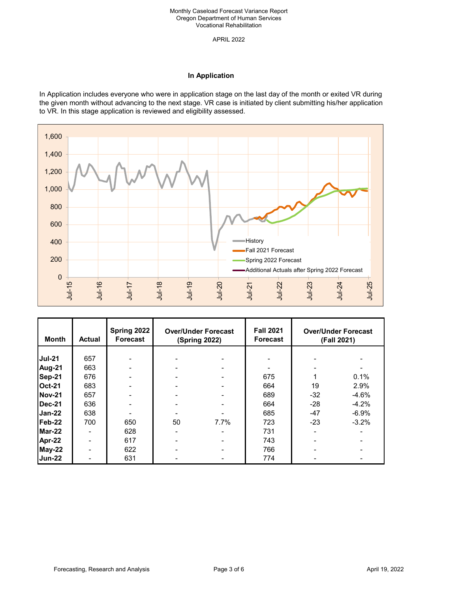APRIL 2022

## **In Application**

In Application includes everyone who were in application stage on the last day of the month or exited VR during the given month without advancing to the next stage. VR case is initiated by client submitting his/her application to VR. In this stage application is reviewed and eligibility assessed.



| <b>Month</b>  | <b>Actual</b> | Spring 2022<br>Forecast | <b>Over/Under Forecast</b><br><b>(Spring 2022)</b> |      | <b>Fall 2021</b><br><b>Forecast</b> |       | <b>Over/Under Forecast</b><br>(Fall 2021) |
|---------------|---------------|-------------------------|----------------------------------------------------|------|-------------------------------------|-------|-------------------------------------------|
|               |               |                         |                                                    |      |                                     |       |                                           |
| <b>Jul-21</b> | 657           |                         |                                                    |      |                                     |       |                                           |
| Aug-21        | 663           |                         |                                                    |      |                                     |       |                                           |
| Sep-21        | 676           |                         |                                                    |      | 675                                 |       | 0.1%                                      |
| <b>Oct-21</b> | 683           |                         |                                                    |      | 664                                 | 19    | 2.9%                                      |
| <b>Nov-21</b> | 657           |                         |                                                    |      | 689                                 | $-32$ | $-4.6%$                                   |
| Dec-21        | 636           |                         |                                                    |      | 664                                 | $-28$ | $-4.2%$                                   |
| Jan-22        | 638           |                         |                                                    |      | 685                                 | $-47$ | $-6.9%$                                   |
| Feb-22        | 700           | 650                     | 50                                                 | 7.7% | 723                                 | $-23$ | $-3.2%$                                   |
| Mar-22        |               | 628                     |                                                    |      | 731                                 |       |                                           |
| Apr-22        |               | 617                     |                                                    |      | 743                                 |       |                                           |
| May-22        |               | 622                     |                                                    |      | 766                                 |       |                                           |
| <b>Jun-22</b> |               | 631                     |                                                    |      | 774                                 |       |                                           |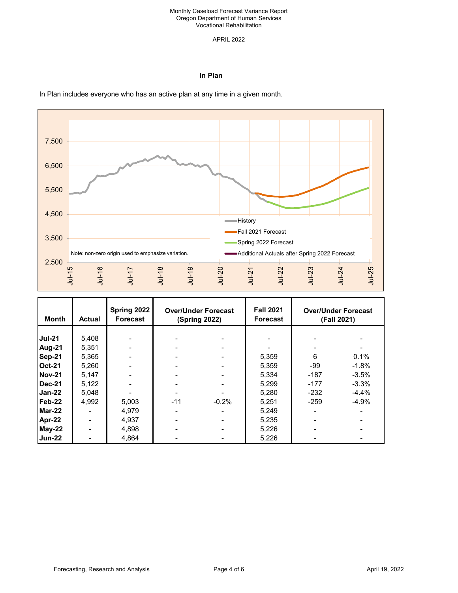#### Monthly Caseload Forecast Variance Report Oregon Department of Human Services Vocational Rehabilitation

### APRIL 2022

## **In Plan**



#### **Month Actual Spring 2022 Forecast Fall 2021 Forecast Jul-21** 5,408 - - - - - - **Aug-21** 5,351 - - - - - - **Sep-21 |** 5,365 | - | - | - | - | 5,359 | 6 0.1% **Oct-21** 5,260 - - - 5,359 -99 -1.8% **Nov-21 | 5**,147 | - | - | - | - | 5,334 | -187 -3.5% **Dec-21 |** 5,122 | - | - | - | - | 5,299 | -177 -3.3% **Jan-22 |** 5,048 | - | - | - | - | 5,280 | -232 -4.4% **Feb-22 |** 4,992 | 5,003 | -11 -0.2% | 5,251 | -259 -4.9% **Mar-22 | - | 4**,979 | - - | 5,249 | - -**Apr-22 | - | 4**,937 | - - - | 5,235 | - - - -**May-22 | - | 4**,898 | - - - | 5,226 | - - - -**Jun-22 | - | 4**,864 | - - - | 5,226 | - - - -**Over/Under Forecast (Spring 2022) Over/Under Forecast (Fall 2021)**

In Plan includes everyone who has an active plan at any time in a given month.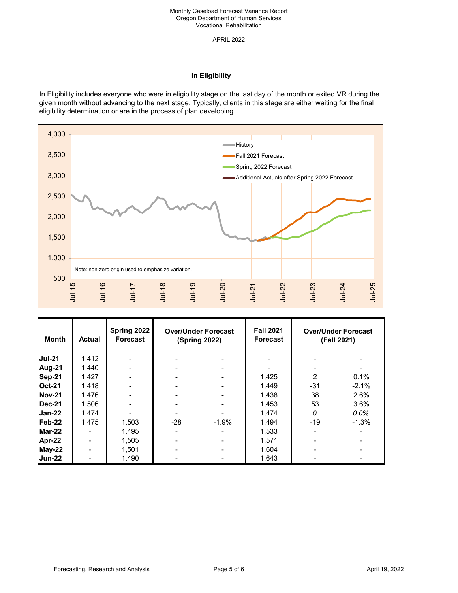APRIL 2022

# **In Eligibility**

In Eligibility includes everyone who were in eligibility stage on the last day of the month or exited VR during the given month without advancing to the next stage. Typically, clients in this stage are either waiting for the final eligibility determination or are in the process of plan developing.



| <b>Month</b>  | <b>Actual</b> | <b>Spring 2022</b><br><b>Forecast</b> | <b>Over/Under Forecast</b><br><b>(Spring 2022)</b> |         | <b>Fall 2021</b><br><b>Forecast</b> |       | <b>Over/Under Forecast</b><br>(Fall 2021) |
|---------------|---------------|---------------------------------------|----------------------------------------------------|---------|-------------------------------------|-------|-------------------------------------------|
|               |               |                                       |                                                    |         |                                     |       |                                           |
| <b>Jul-21</b> | 1,412         |                                       |                                                    |         |                                     |       |                                           |
| Aug-21        | 1,440         |                                       |                                                    |         |                                     |       |                                           |
| Sep-21        | 1,427         |                                       |                                                    |         | 1,425                               |       | 0.1%                                      |
| <b>Oct-21</b> | 1,418         |                                       |                                                    |         | 1,449                               | $-31$ | $-2.1%$                                   |
| <b>Nov-21</b> | 1,476         |                                       |                                                    |         | 1,438                               | 38    | 2.6%                                      |
| <b>Dec-21</b> | 1,506         |                                       |                                                    |         | 1,453                               | 53    | 3.6%                                      |
| Jan-22        | 1,474         |                                       |                                                    |         | 1,474                               | 0     | $0.0\%$                                   |
| Feb-22        | 1.475         | 1,503                                 | $-28$                                              | $-1.9%$ | 1,494                               | $-19$ | $-1.3%$                                   |
| Mar-22        |               | 1,495                                 |                                                    |         | 1,533                               |       |                                           |
| Apr-22        |               | 1,505                                 |                                                    |         | 1,571                               |       |                                           |
| <b>May-22</b> |               | 1.501                                 |                                                    |         | 1,604                               |       |                                           |
| Jun-22        |               | 1,490                                 |                                                    |         | 1,643                               |       |                                           |